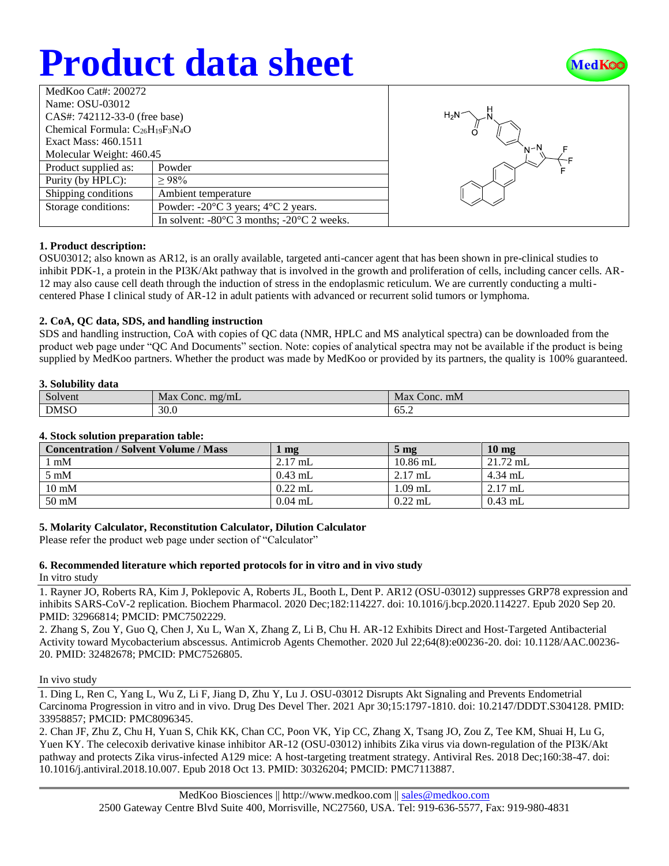# **Product data sheet**



| MedKoo Cat#: 200272                     |                                                                |  |  |  |
|-----------------------------------------|----------------------------------------------------------------|--|--|--|
| Name: OSU-03012                         |                                                                |  |  |  |
| CAS#: 742112-33-0 (free base)           |                                                                |  |  |  |
| Chemical Formula: $C_{26}H_{19}F_3N_4O$ |                                                                |  |  |  |
| Exact Mass: 460.1511                    |                                                                |  |  |  |
| Molecular Weight: 460.45                |                                                                |  |  |  |
| Product supplied as:                    | Powder                                                         |  |  |  |
| Purity (by HPLC):                       | $\geq 98\%$                                                    |  |  |  |
| Shipping conditions                     | Ambient temperature                                            |  |  |  |
| Storage conditions:                     | Powder: $-20^{\circ}$ C 3 years; $4^{\circ}$ C 2 years.        |  |  |  |
|                                         | In solvent: $-80^{\circ}$ C 3 months; $-20^{\circ}$ C 2 weeks. |  |  |  |



# **1. Product description:**

OSU03012; also known as AR12, is an orally available, targeted anti-cancer agent that has been shown in pre-clinical studies to inhibit PDK-1, a protein in the PI3K/Akt pathway that is involved in the growth and proliferation of cells, including cancer cells. AR-12 may also cause cell death through the induction of stress in the endoplasmic reticulum. We are currently conducting a multicentered Phase I clinical study of AR-12 in adult patients with advanced or recurrent solid tumors or lymphoma.

### **2. CoA, QC data, SDS, and handling instruction**

SDS and handling instruction, CoA with copies of QC data (NMR, HPLC and MS analytical spectra) can be downloaded from the product web page under "QC And Documents" section. Note: copies of analytical spectra may not be available if the product is being supplied by MedKoo partners. Whether the product was made by MedKoo or provided by its partners, the quality is 100% guaranteed.

#### **3. Solubility data**

| $\sim$<br>Solvent | Max<br>$m\Omega/mL$<br>Conc. | Conc. mM<br>Max |
|-------------------|------------------------------|-----------------|
| <b>DMSO</b>       | 30.0                         | --<br>∪J.∠      |

#### **4. Stock solution preparation table:**

| <b>Concentration / Solvent Volume / Mass</b> | mg        | 5 <sub>mg</sub> | 10 <sub>mg</sub> |
|----------------------------------------------|-----------|-----------------|------------------|
| $1 \text{ mM}$                               | $2.17$ mL | $10.86$ mL      | $21.72$ mL       |
| $5 \text{ mM}$                               | $0.43$ mL | $2.17$ mL       | $4.34$ mL        |
| $10 \text{ mM}$                              | $0.22$ mL | 1.09 mL         | $2.17$ mL        |
| 50 mM                                        | $0.04$ mL | $0.22$ mL       | $0.43$ mL        |

### **5. Molarity Calculator, Reconstitution Calculator, Dilution Calculator**

Please refer the product web page under section of "Calculator"

### **6. Recommended literature which reported protocols for in vitro and in vivo study**

In vitro study

1. Rayner JO, Roberts RA, Kim J, Poklepovic A, Roberts JL, Booth L, Dent P. AR12 (OSU-03012) suppresses GRP78 expression and inhibits SARS-CoV-2 replication. Biochem Pharmacol. 2020 Dec;182:114227. doi: 10.1016/j.bcp.2020.114227. Epub 2020 Sep 20. PMID: 32966814; PMCID: PMC7502229.

2. Zhang S, Zou Y, Guo Q, Chen J, Xu L, Wan X, Zhang Z, Li B, Chu H. AR-12 Exhibits Direct and Host-Targeted Antibacterial Activity toward Mycobacterium abscessus. Antimicrob Agents Chemother. 2020 Jul 22;64(8):e00236-20. doi: 10.1128/AAC.00236- 20. PMID: 32482678; PMCID: PMC7526805.

#### In vivo study

1. Ding L, Ren C, Yang L, Wu Z, Li F, Jiang D, Zhu Y, Lu J. OSU-03012 Disrupts Akt Signaling and Prevents Endometrial Carcinoma Progression in vitro and in vivo. Drug Des Devel Ther. 2021 Apr 30;15:1797-1810. doi: 10.2147/DDDT.S304128. PMID: 33958857; PMCID: PMC8096345.

2. Chan JF, Zhu Z, Chu H, Yuan S, Chik KK, Chan CC, Poon VK, Yip CC, Zhang X, Tsang JO, Zou Z, Tee KM, Shuai H, Lu G, Yuen KY. The celecoxib derivative kinase inhibitor AR-12 (OSU-03012) inhibits Zika virus via down-regulation of the PI3K/Akt pathway and protects Zika virus-infected A129 mice: A host-targeting treatment strategy. Antiviral Res. 2018 Dec;160:38-47. doi: 10.1016/j.antiviral.2018.10.007. Epub 2018 Oct 13. PMID: 30326204; PMCID: PMC7113887.